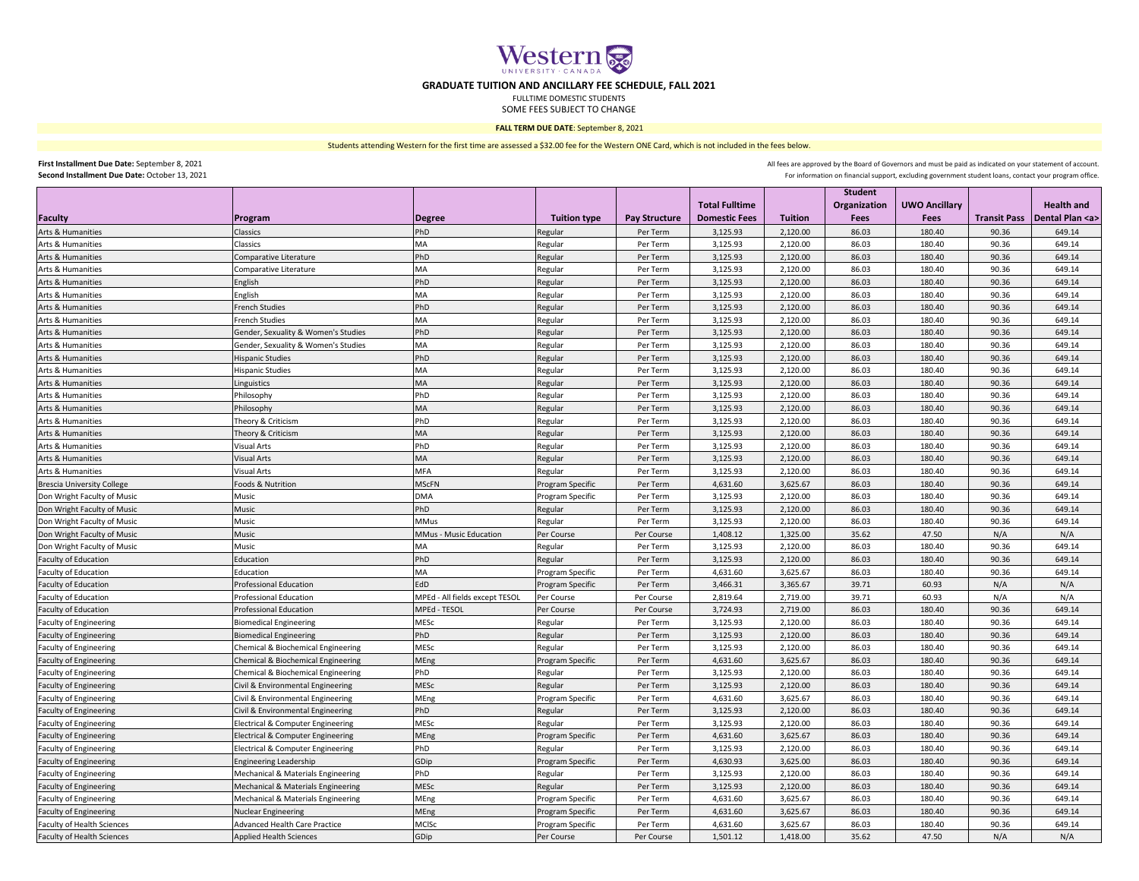

## **GRADUATE TUITION AND ANCILLARY FEE SCHEDULE, FALL 2021**

FULLTIME DOMESTIC STUDENTS

SOME FEES SUBJECT TO CHANGE

## **FALL TERM DUE DATE**: September 8, 2021

Students attending Western for the first time are assessed a \$32.00 fee for the Western ONE Card, which is not included in the fees below.

**First Installment Due Date:** September 8, 2021 **Second Installment Due Date:** October 13, 2021 All fees are approved by the Board of Governors and must be paid as indicated on your statement of account.

For information on financial support, excluding government student loans, contact your program office.

|                                   |                                     |                                |                     |                      |                       |                | <b>Student</b>      |                      |                     |                     |
|-----------------------------------|-------------------------------------|--------------------------------|---------------------|----------------------|-----------------------|----------------|---------------------|----------------------|---------------------|---------------------|
|                                   |                                     |                                |                     |                      | <b>Total Fulltime</b> |                | <b>Organization</b> | <b>UWO Ancillary</b> |                     | <b>Health and</b>   |
| <b>Faculty</b>                    | Program                             | <b>Degree</b>                  | <b>Tuition type</b> | <b>Pay Structure</b> | <b>Domestic Fees</b>  | <b>Tuition</b> | Fees                | <b>Fees</b>          | <b>Transit Pass</b> | Dental Plan <a></a> |
| Arts & Humanities                 | Classics                            | PhD                            | Regular             | Per Term             | 3,125.93              | 2,120.00       | 86.03               | 180.40               | 90.36               | 649.14              |
| Arts & Humanities                 | Classics                            | MA                             | Regular             | Per Term             | 3,125.93              | 2,120.00       | 86.03               | 180.40               | 90.36               | 649.14              |
| Arts & Humanities                 | Comparative Literature              | PhD                            | Regular             | Per Term             | 3,125.93              | 2,120.00       | 86.03               | 180.40               | 90.36               | 649.14              |
| Arts & Humanities                 | Comparative Literature              | <b>MA</b>                      | Regular             | Per Term             | 3,125.93              | 2,120.00       | 86.03               | 180.40               | 90.36               | 649.14              |
| Arts & Humanities                 | English                             | PhD                            | Regular             | Per Term             | 3,125.93              | 2,120.00       | 86.03               | 180.40               | 90.36               | 649.14              |
| Arts & Humanities                 | English                             | MA                             | Regular             | Per Term             | 3,125.93              | 2,120.00       | 86.03               | 180.40               | 90.36               | 649.14              |
| Arts & Humanities                 | <b>French Studies</b>               | PhD                            | Regular             | Per Term             | 3,125.93              | 2,120.00       | 86.03               | 180.40               | 90.36               | 649.14              |
| Arts & Humanities                 | <b>French Studies</b>               | MA                             | Regular             | Per Term             | 3,125.93              | 2,120.00       | 86.03               | 180.40               | 90.36               | 649.14              |
| Arts & Humanities                 | Gender, Sexuality & Women's Studies | PhD                            | Regular             | Per Term             | 3,125.93              | 2,120.00       | 86.03               | 180.40               | 90.36               | 649.14              |
| Arts & Humanities                 | Gender, Sexuality & Women's Studies | MA                             | Regular             | Per Term             | 3,125.93              | 2,120.00       | 86.03               | 180.40               | 90.36               | 649.14              |
| Arts & Humanities                 | <b>Hispanic Studies</b>             | PhD                            | Regular             | Per Term             | 3,125.93              | 2,120.00       | 86.03               | 180.40               | 90.36               | 649.14              |
| Arts & Humanities                 | <b>Hispanic Studies</b>             | <b>MA</b>                      | Regular             | Per Term             | 3,125.93              | 2,120.00       | 86.03               | 180.40               | 90.36               | 649.14              |
| Arts & Humanities                 | Linguistics                         | MA                             | Regular             | Per Term             | 3,125.93              | 2,120.00       | 86.03               | 180.40               | 90.36               | 649.14              |
| Arts & Humanities                 | Philosophy                          | PhD                            | Regular             | Per Term             | 3,125.93              | 2,120.00       | 86.03               | 180.40               | 90.36               | 649.14              |
| Arts & Humanities                 | Philosophy                          | MA                             | Regular             | Per Term             | 3,125.93              | 2,120.00       | 86.03               | 180.40               | 90.36               | 649.14              |
| Arts & Humanities                 | Theory & Criticism                  | PhD                            | Regular             | Per Term             | 3,125.93              | 2,120.00       | 86.03               | 180.40               | 90.36               | 649.14              |
| Arts & Humanities                 | Theory & Criticism                  | MA                             | Regular             | Per Term             | 3,125.93              | 2,120.00       | 86.03               | 180.40               | 90.36               | 649.14              |
| Arts & Humanities                 | <b>Visual Arts</b>                  | PhD                            | Regular             | Per Term             | 3,125.93              | 2,120.00       | 86.03               | 180.40               | 90.36               | 649.14              |
| <b>Arts &amp; Humanities</b>      | <b>Visual Arts</b>                  | <b>MA</b>                      | Regular             | Per Term             | 3,125.93              | 2,120.00       | 86.03               | 180.40               | 90.36               | 649.14              |
| Arts & Humanities                 | <b>Visual Arts</b>                  | <b>MFA</b>                     | Regular             | Per Term             | 3,125.93              | 2,120.00       | 86.03               | 180.40               | 90.36               | 649.14              |
| <b>Brescia University College</b> | Foods & Nutrition                   | <b>MScFN</b>                   | Program Specific    | Per Term             | 4,631.60              | 3,625.67       | 86.03               | 180.40               | 90.36               | 649.14              |
| Don Wright Faculty of Music       | Music                               | <b>DMA</b>                     | Program Specific    | Per Term             | 3,125.93              | 2,120.00       | 86.03               | 180.40               | 90.36               | 649.14              |
| Don Wright Faculty of Music       | Music                               | PhD                            | Regular             | Per Term             | 3,125.93              | 2,120.00       | 86.03               | 180.40               | 90.36               | 649.14              |
| Don Wright Faculty of Music       | Music                               | MMus                           | Regular             | Per Term             | 3,125.93              | 2,120.00       | 86.03               | 180.40               | 90.36               | 649.14              |
| Don Wright Faculty of Music       | Music                               | MMus - Music Education         | Per Course          | Per Course           | 1,408.12              | 1,325.00       | 35.62               | 47.50                | N/A                 | N/A                 |
| Don Wright Faculty of Music       | Music                               | MA                             | Regular             | Per Term             | 3,125.93              | 2,120.00       | 86.03               | 180.40               | 90.36               | 649.14              |
| Faculty of Education              | Education                           | PhD                            | Regular             | Per Term             | 3,125.93              | 2,120.00       | 86.03               | 180.40               | 90.36               | 649.14              |
| Faculty of Education              | Education                           | MA                             | Program Specific    | Per Term             | 4,631.60              | 3,625.67       | 86.03               | 180.40               | 90.36               | 649.14              |
| Faculty of Education              | <b>Professional Education</b>       | EdD                            | Program Specific    | Per Term             | 3,466.31              | 3,365.67       | 39.71               | 60.93                | N/A                 | N/A                 |
| Faculty of Education              | <b>Professional Education</b>       | MPEd - All fields except TESOL | Per Course          | Per Course           | 2,819.64              | 2,719.00       | 39.71               | 60.93                | N/A                 | N/A                 |
| <b>Faculty of Education</b>       | <b>Professional Education</b>       | MPEd - TESOL                   | Per Course          | Per Course           | 3,724.93              | 2,719.00       | 86.03               | 180.40               | 90.36               | 649.14              |
| <b>Faculty of Engineering</b>     | <b>Biomedical Engineering</b>       | MESc                           | Regular             | Per Term             | 3,125.93              | 2,120.00       | 86.03               | 180.40               | 90.36               | 649.14              |
| <b>Faculty of Engineering</b>     | <b>Biomedical Engineering</b>       | PhD                            | Regular             | Per Term             | 3,125.93              | 2,120.00       | 86.03               | 180.40               | 90.36               | 649.14              |
| <b>Faculty of Engineering</b>     | Chemical & Biochemical Engineering  | MESc                           | Regular             | Per Term             | 3,125.93              | 2,120.00       | 86.03               | 180.40               | 90.36               | 649.14              |
| <b>Faculty of Engineering</b>     | Chemical & Biochemical Engineering  | MEng                           | Program Specific    | Per Term             | 4,631.60              | 3,625.67       | 86.03               | 180.40               | 90.36               | 649.14              |
| <b>Faculty of Engineering</b>     | Chemical & Biochemical Engineering  | PhD                            | Regular             | Per Term             | 3,125.93              | 2,120.00       | 86.03               | 180.40               | 90.36               | 649.14              |
| <b>Faculty of Engineering</b>     | Civil & Environmental Engineering   | MESc                           | Regular             | Per Term             | 3,125.93              | 2,120.00       | 86.03               | 180.40               | 90.36               | 649.14              |
| <b>Faculty of Engineering</b>     | Civil & Environmental Engineering   | MEng                           | Program Specific    | Per Term             | 4,631.60              | 3,625.67       | 86.03               | 180.40               | 90.36               | 649.14              |
| <b>Faculty of Engineering</b>     | Civil & Environmental Engineering   | PhD                            | Regular             | Per Term             | 3,125.93              | 2,120.00       | 86.03               | 180.40               | 90.36               | 649.14              |
| <b>Faculty of Engineering</b>     | Electrical & Computer Engineering   | MESc                           | Regular             | Per Term             | 3,125.93              | 2,120.00       | 86.03               | 180.40               | 90.36               | 649.14              |
| <b>Faculty of Engineering</b>     | Electrical & Computer Engineering   | MEng                           | Program Specific    | Per Term             | 4,631.60              | 3,625.67       | 86.03               | 180.40               | 90.36               | 649.14              |
| <b>Faculty of Engineering</b>     | Electrical & Computer Engineering   | PhD                            | Regular             | Per Term             | 3,125.93              | 2,120.00       | 86.03               | 180.40               | 90.36               | 649.14              |
| <b>Faculty of Engineering</b>     | <b>Engineering Leadership</b>       | GDip                           | Program Specific    | Per Term             | 4,630.93              | 3,625.00       | 86.03               | 180.40               | 90.36               | 649.14              |
| <b>Faculty of Engineering</b>     | Mechanical & Materials Engineering  | PhD                            | Regular             | Per Term             | 3,125.93              | 2,120.00       | 86.03               | 180.40               | 90.36               | 649.14              |
| <b>Faculty of Engineering</b>     | Mechanical & Materials Engineering  | <b>MESc</b>                    | Regular             | Per Term             | 3,125.93              | 2,120.00       | 86.03               | 180.40               | 90.36               | 649.14              |
| <b>Faculty of Engineering</b>     | Mechanical & Materials Engineering  | MEng                           | Program Specific    | Per Term             | 4,631.60              | 3,625.67       | 86.03               | 180.40               | 90.36               | 649.14              |
| <b>Faculty of Engineering</b>     | <b>Nuclear Engineering</b>          | MEng                           | Program Specific    | Per Term             | 4,631.60              | 3,625.67       | 86.03               | 180.40               | 90.36               | 649.14              |
| Faculty of Health Sciences        | Advanced Health Care Practice       | MCISc                          | Program Specific    | Per Term             | 4,631.60              | 3,625.67       | 86.03               | 180.40               | 90.36               | 649.14              |
| Faculty of Health Sciences        | <b>Applied Health Sciences</b>      | GDip                           | Per Course          | Per Course           | 1,501.12              | 1,418.00       | 35.62               | 47.50                | N/A                 | N/A                 |
|                                   |                                     |                                |                     |                      |                       |                |                     |                      |                     |                     |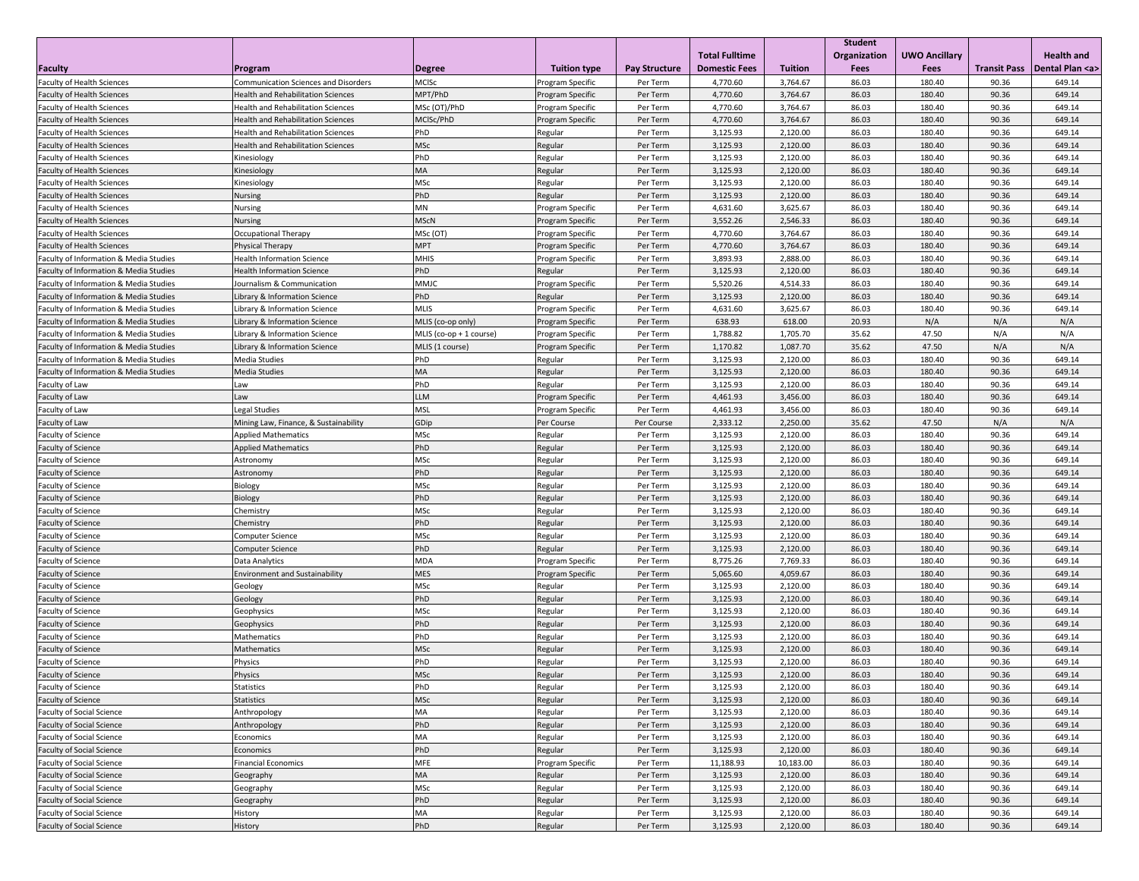|                                        |                                           |                         |                     |                      |                       |                | <b>Student</b> |                      |                     |                     |
|----------------------------------------|-------------------------------------------|-------------------------|---------------------|----------------------|-----------------------|----------------|----------------|----------------------|---------------------|---------------------|
|                                        |                                           |                         |                     |                      | <b>Total Fulltime</b> |                | Organization   | <b>UWO Ancillary</b> |                     | <b>Health and</b>   |
| <b>Faculty</b>                         | Program                                   | <b>Degree</b>           | <b>Tuition type</b> | <b>Pay Structure</b> | <b>Domestic Fees</b>  | <b>Tuition</b> | Fees           | Fees                 | <b>Transit Pass</b> | Dental Plan <a></a> |
| Faculty of Health Sciences             | Communication Sciences and Disorders      | MCISc                   | Program Specific    | Per Term             | 4,770.60              | 3,764.67       | 86.03          | 180.40               | 90.36               | 649.14              |
| <b>Faculty of Health Sciences</b>      | <b>Health and Rehabilitation Sciences</b> | MPT/PhD                 | Program Specific    | Per Term             | 4,770.60              | 3,764.67       | 86.03          | 180.40               | 90.36               | 649.14              |
| <b>Faculty of Health Sciences</b>      | <b>Health and Rehabilitation Sciences</b> | MSc (OT)/PhD            | Program Specific    | Per Term             | 4,770.60              | 3,764.67       | 86.03          | 180.40               | 90.36               | 649.14              |
| <b>Faculty of Health Sciences</b>      | <b>Health and Rehabilitation Sciences</b> | MCISc/PhD               | Program Specific    | Per Term             | 4,770.60              | 3,764.67       | 86.03          | 180.40               | 90.36               | 649.14              |
| <b>Faculty of Health Sciences</b>      | <b>Health and Rehabilitation Sciences</b> | PhD                     | Regular             | Per Term             | 3,125.93              | 2,120.00       | 86.03          | 180.40               | 90.36               | 649.14              |
| <b>Faculty of Health Sciences</b>      | <b>Health and Rehabilitation Sciences</b> | MSc                     | Regular             | Per Term             | 3,125.93              | 2,120.00       | 86.03          | 180.40               | 90.36               | 649.14              |
| <b>Faculty of Health Sciences</b>      | Kinesiology                               | PhD                     | Regular             | Per Term             | 3,125.93              | 2,120.00       | 86.03          | 180.40               | 90.36               | 649.14              |
| <b>Faculty of Health Sciences</b>      | Kinesiology                               | MA                      | Regular             | Per Term             | 3,125.93              | 2,120.00       | 86.03          | 180.40               | 90.36               | 649.14              |
| <b>Faculty of Health Sciences</b>      | Kinesiology                               | <b>MSc</b>              | Regular             | Per Term             | 3,125.93              | 2,120.00       | 86.03          | 180.40               | 90.36               | 649.14              |
| <b>Faculty of Health Sciences</b>      | Nursing                                   | PhD                     | Regular             | Per Term             | 3,125.93              | 2,120.00       | 86.03          | 180.40               | 90.36               | 649.14              |
| <b>Faculty of Health Sciences</b>      | <b>Nursing</b>                            | MN                      | Program Specific    | Per Term             | 4,631.60              | 3,625.67       | 86.03          | 180.40               | 90.36               | 649.14              |
| <b>Faculty of Health Sciences</b>      | Nursing                                   | <b>MScN</b>             | Program Specific    | Per Term             | 3,552.26              | 2,546.33       | 86.03          | 180.40               | 90.36               | 649.14              |
| <b>Faculty of Health Sciences</b>      | Occupational Therapy                      | MSc (OT)                | Program Specific    | Per Term             | 4,770.60              | 3,764.67       | 86.03          | 180.40               | 90.36               | 649.14              |
| <b>Faculty of Health Sciences</b>      | Physical Therapy                          | <b>MPT</b>              | Program Specific    | Per Term             | 4,770.60              | 3,764.67       | 86.03          | 180.40               | 90.36               | 649.14              |
| Faculty of Information & Media Studies | <b>Health Information Science</b>         | <b>MHIS</b>             | Program Specific    | Per Term             | 3,893.93              | 2,888.00       | 86.03          | 180.40               | 90.36               | 649.14              |
| Faculty of Information & Media Studies | <b>Health Information Science</b>         | PhD                     | Regular             | Per Term             | 3,125.93              | 2,120.00       | 86.03          | 180.40               | 90.36               | 649.14              |
| Faculty of Information & Media Studies | Journalism & Communication                | MMJC                    | Program Specific    | Per Term             | 5,520.26              | 4,514.33       | 86.03          | 180.40               | 90.36               | 649.14              |
| Faculty of Information & Media Studies | Library & Information Science             | PhD                     | Regular             | Per Term             | 3,125.93              | 2,120.00       | 86.03          | 180.40               | 90.36               | 649.14              |
| Faculty of Information & Media Studies | Library & Information Science             | <b>MLIS</b>             | Program Specific    | Per Term             | 4,631.60              | 3,625.67       | 86.03          | 180.40               | 90.36               | 649.14              |
| Faculty of Information & Media Studies | Library & Information Science             | MLIS (co-op only)       | Program Specific    | Per Term             | 638.93                | 618.00         | 20.93          | N/A                  | N/A                 | N/A                 |
| Faculty of Information & Media Studies | Library & Information Science             | MLIS (co-op + 1 course) | Program Specific    | Per Term             | 1,788.82              | 1,705.70       | 35.62          | 47.50                | N/A                 | N/A                 |
| Faculty of Information & Media Studies | Library & Information Science             | MLIS (1 course)         | Program Specific    | Per Term             | 1,170.82              | 1,087.70       | 35.62          | 47.50                | N/A                 | N/A                 |
| Faculty of Information & Media Studies | <b>Media Studies</b>                      | PhD                     | Regular             | Per Term             | 3,125.93              | 2,120.00       | 86.03          | 180.40               | 90.36               | 649.14              |
| Faculty of Information & Media Studies | <b>Media Studies</b>                      | MA                      | Regular             | Per Term             | 3,125.93              | 2,120.00       | 86.03          | 180.40               | 90.36               | 649.14              |
| Faculty of Law                         | Law                                       | PhD                     | Regular             | Per Term             | 3,125.93              | 2,120.00       | 86.03          | 180.40               | 90.36               | 649.14              |
| Faculty of Law                         | Law                                       | LLM                     | Program Specific    | Per Term             | 4,461.93              | 3,456.00       | 86.03          | 180.40               | 90.36               | 649.14              |
| Faculty of Law                         | <b>Legal Studies</b>                      | <b>MSL</b>              | Program Specific    | Per Term             | 4,461.93              | 3,456.00       | 86.03          | 180.40               | 90.36               | 649.14              |
| Faculty of Law                         | Mining Law, Finance, & Sustainability     | GDip                    | Per Course          | Per Course           | 2,333.12              | 2,250.00       | 35.62          | 47.50                | N/A                 | N/A                 |
| <b>Faculty of Science</b>              | <b>Applied Mathematics</b>                | MSc                     | Regular             | Per Term             | 3,125.93              | 2,120.00       | 86.03          | 180.40               | 90.36               | 649.14              |
| Faculty of Science                     | <b>Applied Mathematics</b>                | PhD                     | Regular             | Per Term             | 3,125.93              | 2,120.00       | 86.03          | 180.40               | 90.36               | 649.14              |
| Faculty of Science                     | Astronomy                                 | MSc                     | Regular             | Per Term             | 3,125.93              | 2,120.00       | 86.03          | 180.40               | 90.36               | 649.14              |
| Faculty of Science                     | Astronomy                                 | PhD                     | Regular             | Per Term             | 3,125.93              | 2,120.00       | 86.03          | 180.40               | 90.36               | 649.14              |
| Faculty of Science                     | Biology                                   | MSc                     | Regular             | Per Term             | 3,125.93              | 2,120.00       | 86.03          | 180.40               | 90.36               | 649.14              |
| Faculty of Science                     | Biology                                   | PhD                     | Regular             | Per Term             | 3,125.93              | 2,120.00       | 86.03          | 180.40               | 90.36               | 649.14              |
| Faculty of Science                     | Chemistry                                 | MSc                     | Regular             | Per Term             | 3,125.93              | 2,120.00       | 86.03          | 180.40               | 90.36               | 649.14              |
| <b>Faculty of Science</b>              | Chemistry                                 | PhD                     | Regular             | Per Term             | 3,125.93              | 2,120.00       | 86.03          | 180.40               | 90.36               | 649.14              |
| Faculty of Science                     | <b>Computer Science</b>                   | MSc                     | Regular             | Per Term             | 3,125.93              | 2,120.00       | 86.03          | 180.40               | 90.36               | 649.14              |
| Faculty of Science                     | <b>Computer Science</b>                   | PhD                     | Regular             | Per Term             | 3,125.93              | 2,120.00       | 86.03          | 180.40               | 90.36               | 649.14              |
| Faculty of Science                     | Data Analytics                            | <b>MDA</b>              | Program Specific    | Per Term             | 8,775.26              | 7,769.33       | 86.03          | 180.40               | 90.36               | 649.14              |
| Faculty of Science                     | <b>Environment and Sustainability</b>     | <b>MES</b>              | Program Specific    | Per Term             | 5,065.60              | 4,059.67       | 86.03          | 180.40               | 90.36               | 649.14              |
| Faculty of Science                     | Geology                                   | MSc                     | Regular             | Per Term             | 3,125.93              | 2,120.00       | 86.03          | 180.40               | 90.36               | 649.14              |
| Faculty of Science                     | Geology                                   | PhD                     | Regular             | Per Term             | 3,125.93              | 2,120.00       | 86.03          | 180.40               | 90.36               | 649.14              |
| <b>Faculty of Science</b>              | Geophysics                                | MSc                     | Regular             | Per Term             | 3,125.93              | 2,120.00       | 86.03          | 180.40               | 90.36               | 649.14              |
| Faculty of Science                     | Geophysics                                | PhD                     | Regular             | Per Term             | 3,125.93              | 2,120.00       | 86.03          | 180.40               | 90.36               | 649.14              |
| Faculty of Science                     | Mathematics                               | PhD                     | Regular             | Per Term             | 3,125.93              | 2,120.00       | 86.03          | 180.40               | 90.36               | 649.14              |
| Faculty of Science                     | Mathematics                               | MSc                     | Regular             | Per Term             | 3,125.93              | 2,120.00       | 86.03          | 180.40               | 90.36               | 649.14              |
| <b>Faculty of Science</b>              | Physics                                   | PhD                     | Regular             | Per Term             | 3,125.93              | 2,120.00       | 86.03          | 180.40               | 90.36               | 649.14              |
| <b>Faculty of Science</b>              | Physics                                   | <b>MSc</b>              | Regular             | Per Term             | 3,125.93              | 2,120.00       | 86.03          | 180.40               | 90.36               | 649.14              |
| Faculty of Science                     | Statistics                                | PhD                     | Regular             | Per Term             | 3,125.93              | 2,120.00       | 86.03          | 180.40               | 90.36               | 649.14              |
| Faculty of Science                     | Statistics                                | MSc                     | Regular             | Per Term             | 3,125.93              | 2,120.00       | 86.03          | 180.40               | 90.36               | 649.14              |
| <b>Faculty of Social Science</b>       | Anthropology                              | MA                      | Regular             | Per Term             | 3,125.93              | 2,120.00       | 86.03          | 180.40               | 90.36               | 649.14              |
| <b>Faculty of Social Science</b>       | Anthropology                              | PhD                     | Regular             | Per Term             | 3,125.93              | 2,120.00       | 86.03          | 180.40               | 90.36               | 649.14              |
| <b>Faculty of Social Science</b>       | Economics                                 | MA                      | Regular             | Per Term             | 3,125.93              | 2,120.00       | 86.03          | 180.40               | 90.36               | 649.14              |
| <b>Faculty of Social Science</b>       | Economics                                 | PhD                     | Regular             | Per Term             | 3,125.93              | 2,120.00       | 86.03          | 180.40               | 90.36               | 649.14              |
| Faculty of Social Science              | <b>Financial Economics</b>                | <b>MFE</b>              | Program Specific    | Per Term             | 11,188.93             | 10,183.00      | 86.03          | 180.40               | 90.36               | 649.14              |
| Faculty of Social Science              | Geography                                 | MA                      | Regular             | Per Term             | 3,125.93              | 2,120.00       | 86.03          | 180.40               | 90.36               | 649.14              |
| Faculty of Social Science              | Geography                                 | MSc                     | Regular             | Per Term             | 3,125.93              | 2,120.00       | 86.03          | 180.40               | 90.36               | 649.14              |
| <b>Faculty of Social Science</b>       | Geography                                 | PhD                     | Regular             | Per Term             | 3,125.93              | 2,120.00       | 86.03          | 180.40               | 90.36               | 649.14              |
| <b>Faculty of Social Science</b>       | History                                   | MA                      | Regular             | Per Term             | 3,125.93              | 2,120.00       | 86.03          | 180.40               | 90.36               | 649.14              |
| <b>Faculty of Social Science</b>       | History                                   | PhD                     | Regular             | Per Term             | 3,125.93              | 2,120.00       | 86.03          | 180.40               | 90.36               | 649.14              |